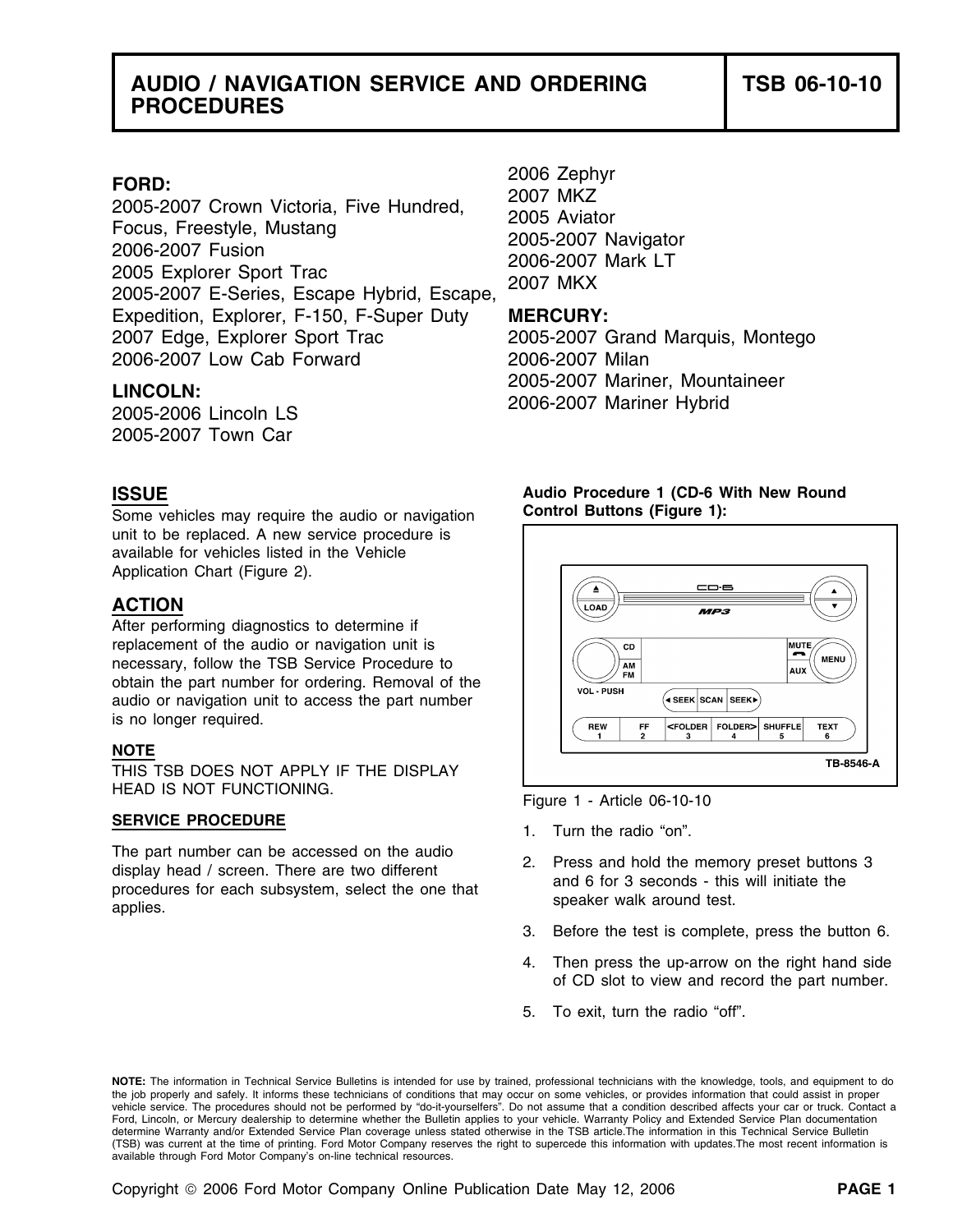## **AUDIO / NAVIGATION SERVICE AND ORDERING TSB 06-10-10 PROCEDURES**

FORD:<br>
2005-2007 Crown Victoria, Five Hundred, 2007 MKZ<br>
Focus, Freestyle, Mustang 2006-2007 Aviator<br>
2006-2007 Fusion 2005-2007 Navigator<br>
2005-2007 Explorer Sport Trac 2006-2007 Mark LT<br>
2005-2007 E-Series, Escape Hybrid Expedition, Explorer, F-150, F-Super Duty **MERCURY:** 2007 Edge, Explorer Sport Trac 2005-2007 Grand Marquis, Montego 2006-2007 Low Cab Forward 2006-2007 Milan

2005-2007 Town Car

Some vehicles may require the audio or navigation **Control Buttons (Figure 1):**  unit to be replaced. A new service procedure is available for vehicles listed in the Vehicle Application Chart (Figure 2).

## **ACTION**

After performing diagnostics to determine if replacement of the audio or navigation unit is necessary, follow the TSB Service Procedure to obtain the part number for ordering. Removal of the audio or navigation unit to access the part number is no longer required.

## **NOTE**

THIS TSB DOES NOT APPLY IF THE DISPLAY HEAD IS NOT FUNCTIONING.<br>Figure 1 - Article 06-10-10

## **SERVICE PROCEDURE** 1. Turn the radio "on".

The part number can be accessed on the audio<br>display head / screen. There are two different<br>procedures for each subsystem, select the one that<br>applies.<br>There are two different<br>applies.<br>Subsystem, select the one that<br>speake

2005-2007 Mariner, Mountaineer **LINCOLN:** 2006-2007 Mariner Hybrid 2005-2006 Lincoln LS

# **ISSUE Audio Procedure 1 (CD-6 With New Round**



- 
- 
- 3. Before the test is complete, press the button 6.
- 4. Then press the up-arrow on the right hand side of CD slot to view and record the part number.
- 5. To exit, turn the radio "off".

**NOTE:** The information in Technical Service Bulletins is intended for use by trained, professional technicians with the knowledge, tools, and equipment to do the job properly and safely. It informs these technicians of conditions that may occur on some vehicles, or provides information that could assist in proper<br>vehicle service. The procedures should not be performed by "do-it Ford, Lincoln, or Mercury dealership to determine whether the Bulletin applies to your vehicle. Warranty Policy and Extended Service Plan documentation determine Warranty and/or Extended Service Plan coverage unless stated otherwise in the TSB article.The information in this Technical Service Bulletin (TSB) was current at the time of printing. Ford Motor Company reserves the right to supercede this information with updates.The most recent information is available through Ford Motor Company's on-line technical resources.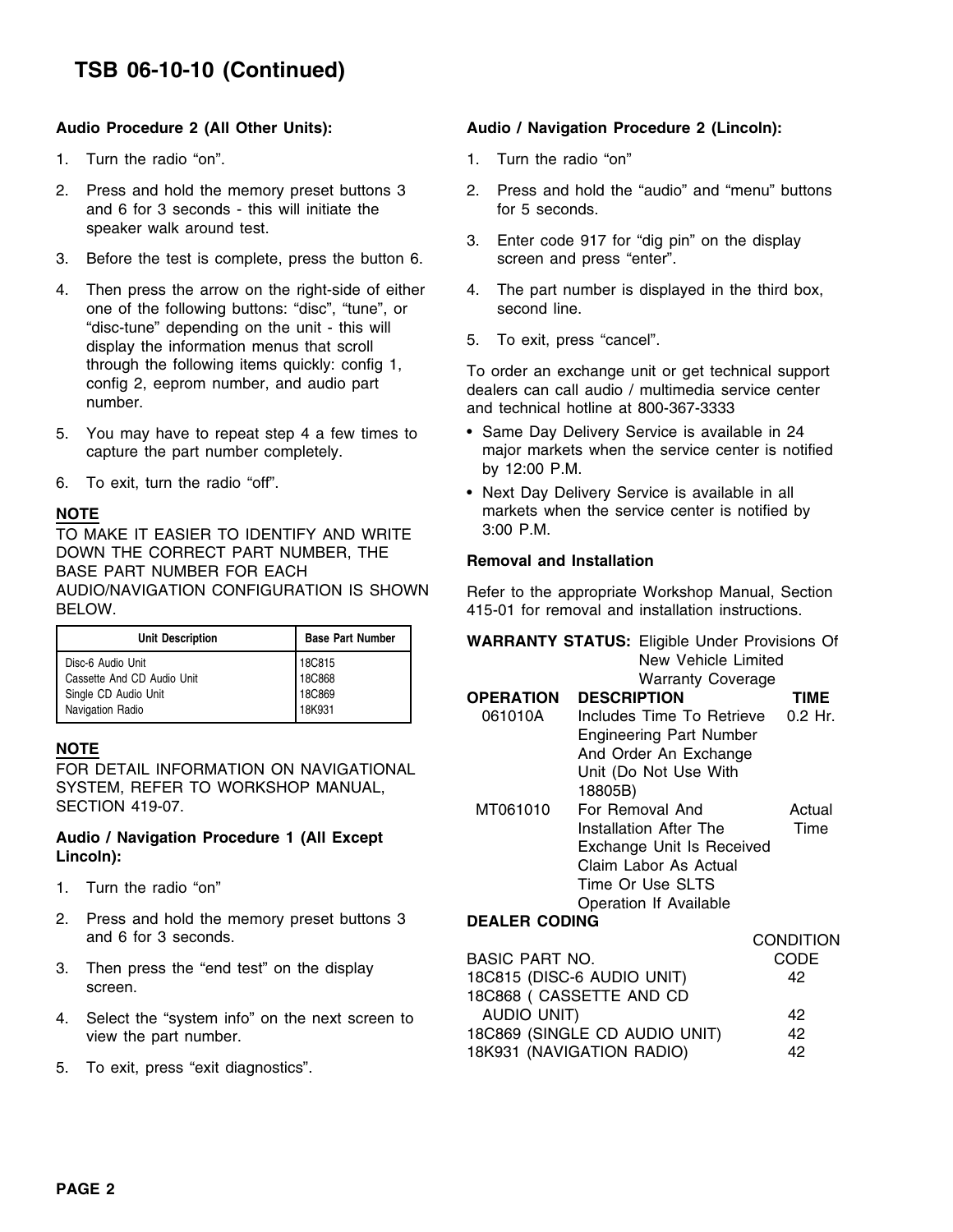# **TSB 06-10-10 (Continued)**

- 1. Turn the radio "on". Turn the radio "on"
- and  $6$  for  $3$  seconds this will initiate the for  $5$  seconds. speaker walk around test.<br>3. Enter code 917 for "dig pin" on the display
- 3. Before the test is complete, press the button 6. screen and press "enter".
- 4. Then press the arrow on the right-side of either 4. The part number is displayed in the third box, one of the following buttons: "disc", "tune", or second line.<br>"disc-tune" depending on the unit - this will display the information menus that scroll 5. To exit, press "cancel". through the following items quickly: config 1,<br>
config 2, eeprom number, and audio part dealers can call audio / multimedia service center<br>
number.<br>
cond technical betting of 800.067.2933.
- 
- 6. To exit, turn the radio "off".  $\mathbf{b}$  is the radio "off".

TO MAKE IT EASIER TO IDENTIFY AND WRITE 3:00 P.M. DOWN THE CORRECT PART NUMBER, THE **Removal and Installation** BASE PART NUMBER FOR EACH AUDIO/NAVIGATION CONFIGURATION IS SHOWN Refer to the appropriate Workshop Manual, Section BELOW. 415-01 for removal and installation instructions.

| <b>Unit Description</b>    | <b>Base Part Number</b> | <b>WARRANTY STATUS: Eligible Under Provis</b> |
|----------------------------|-------------------------|-----------------------------------------------|
| Disc-6 Audio Unit          | 18C815                  | New Vehicle Limited                           |
| Cassette And CD Audio Unit | <b>18C868</b>           | <b>Warranty Coverage</b>                      |
| Single CD Audio Unit       | 18C869                  | <b>DESCRIPTION</b><br><b>OPERATION</b>        |
| Navigation Radio           | 18K931                  | 061010A<br>Includes Time To Retrieve          |

# Audio / Navigation Procedure 1 (All Except<br>Lincoln):

- 1. Turn the radio "on"
- 2. Press and hold the memory preset buttons 3 and 6 for 3 seconds.
- 3. Then press the "end test" on the display screen.
- 4. Select the "system info" on the next screen to view the part number.
- 5. To exit, press "exit diagnostics".

## **Audio Procedure 2 (All Other Units): Audio / Navigation Procedure 2 (Lincoln):**

- 
- 2. Press and hold the memory preset buttons 3 2. Press and hold the "audio" and "menu" buttons
	-
	-
	-

and technical hotline at 800-367-3333

- 5. You may have to repeat step 4 a few times to Same Day Delivery Service is available in 24 capture the part number completely. major markets when the service center is notified
- Next Day Delivery Service is available in all **NOTE MOTE MARKER MEDICAL MARKER WHEN THE SERVICE CENTER OF SERVICE CENTER SHOWS MARKETS MOTEL**

| <b>Unit Description</b>                                               | <b>Base Part Number</b>                |                       | <b>WARRANTY STATUS: Eligible Under Provisions Of</b>                                        |                  |
|-----------------------------------------------------------------------|----------------------------------------|-----------------------|---------------------------------------------------------------------------------------------|------------------|
| Disc-6 Audio Unit<br>Cassette And CD Audio Unit                       | 18C815<br>18C868                       |                       | New Vehicle Limited<br><b>Warranty Coverage</b>                                             |                  |
| Single CD Audio Unit                                                  | 18C869                                 | <b>OPERATION</b>      | <b>DESCRIPTION</b>                                                                          | TIME             |
| Navigation Radio                                                      | 18K931                                 | 061010A               | Includes Time To Retrieve                                                                   | $0.2$ Hr.        |
| NOTE<br>SYSTEM, REFER TO WORKSHOP MANUAL,                             | FOR DETAIL INFORMATION ON NAVIGATIONAL |                       | <b>Engineering Part Number</b><br>And Order An Exchange<br>Unit (Do Not Use With<br>18805B) |                  |
| SECTION 419-07.                                                       |                                        | MT061010              | For Removal And                                                                             | Actual           |
| Audio / Navigation Procedure 1 (All Except<br>Lincoln):               |                                        |                       | Installation After The<br>Exchange Unit Is Received<br>Claim Labor As Actual                | Time             |
| 1. Turn the radio "on"                                                |                                        |                       | Time Or Use SLTS<br><b>Operation If Available</b>                                           |                  |
| 2. Press and hold the memory preset buttons 3<br>and 6 for 3 seconds. |                                        | <b>DEALER CODING</b>  |                                                                                             |                  |
|                                                                       |                                        |                       |                                                                                             | <b>CONDITION</b> |
| التملمية المسالم والمستقل المعارضة والمستقلة والمستقل والمستقلة       |                                        | <b>BASIC PART NO.</b> |                                                                                             | <b>CODE</b>      |

|                                                                         | <b>BASIC PART NO.</b>         | CODE |
|-------------------------------------------------------------------------|-------------------------------|------|
| Then press the "end test" on the display                                | 18C815 (DISC-6 AUDIO UNIT)    | 42   |
| screen.                                                                 | 18C868 ( CASSETTE AND CD      |      |
| Select the "system info" on the next screen to<br>view the part number. | AUDIO UNIT)                   | 42   |
|                                                                         | 18C869 (SINGLE CD AUDIO UNIT) | 42   |
|                                                                         | 18K931 (NAVIGATION RADIO)     | 42   |